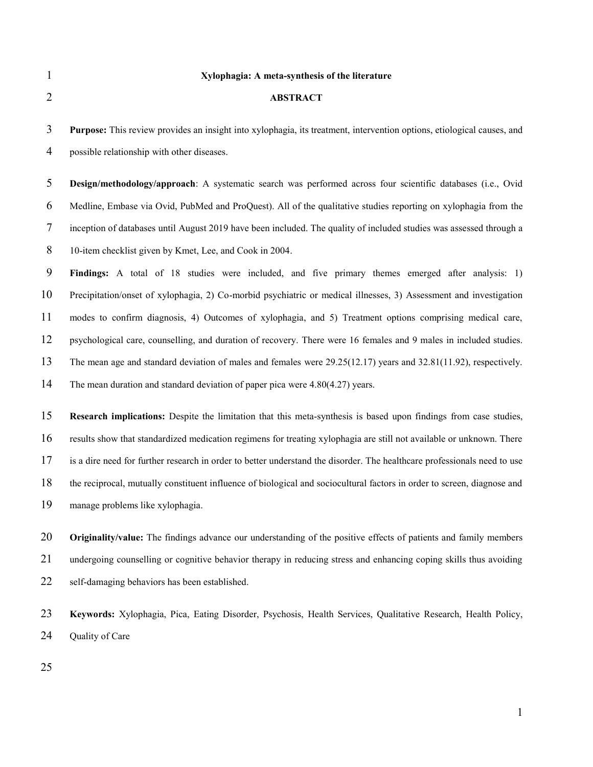# **Xylophagia: A meta-synthesis of the literature**

| $\overline{2}$ | <b>ABSTRACT</b>                                                                                                               |
|----------------|-------------------------------------------------------------------------------------------------------------------------------|
| 3              | <b>Purpose:</b> This review provides an insight into xylophagia, its treatment, intervention options, etiological causes, and |
| $\overline{4}$ | possible relationship with other diseases.                                                                                    |
| 5              | Design/methodology/approach: A systematic search was performed across four scientific databases (i.e., Ovid                   |
| 6              | Medline, Embase via Ovid, PubMed and ProQuest). All of the qualitative studies reporting on xylophagia from the               |
| $\tau$         | inception of databases until August 2019 have been included. The quality of included studies was assessed through a           |
| 8              | 10-item checklist given by Kmet, Lee, and Cook in 2004.                                                                       |
| 9              | Findings: A total of 18 studies were included, and five primary themes emerged after analysis: 1)                             |
| 10             | Precipitation/onset of xylophagia, 2) Co-morbid psychiatric or medical illnesses, 3) Assessment and investigation             |
| 11             | modes to confirm diagnosis, 4) Outcomes of xylophagia, and 5) Treatment options comprising medical care,                      |
| 12             | psychological care, counselling, and duration of recovery. There were 16 females and 9 males in included studies.             |
| 13             | The mean age and standard deviation of males and females were $29.25(12.17)$ years and $32.81(11.92)$ , respectively.         |
| 14             | The mean duration and standard deviation of paper pica were $4.80(4.27)$ years.                                               |
| 15             | <b>Research implications:</b> Despite the limitation that this meta-synthesis is based upon findings from case studies,       |
| 16             | results show that standardized medication regimens for treating xylophagia are still not available or unknown. There          |
| 17             | is a dire need for further research in order to better understand the disorder. The healthcare professionals need to use      |

**Keywords:** Xylophagia, Pica, Eating Disorder, Psychosis, Health Services, Qualitative Research, Health Policy, 24 Quality of Care

the reciprocal, mutually constituent influence of biological and sociocultural factors in order to screen, diagnose and

**Originality/value:** The findings advance our understanding of the positive effects of patients and family members

undergoing counselling or cognitive behavior therapy in reducing stress and enhancing coping skills thus avoiding

manage problems like xylophagia.

self-damaging behaviors has been established.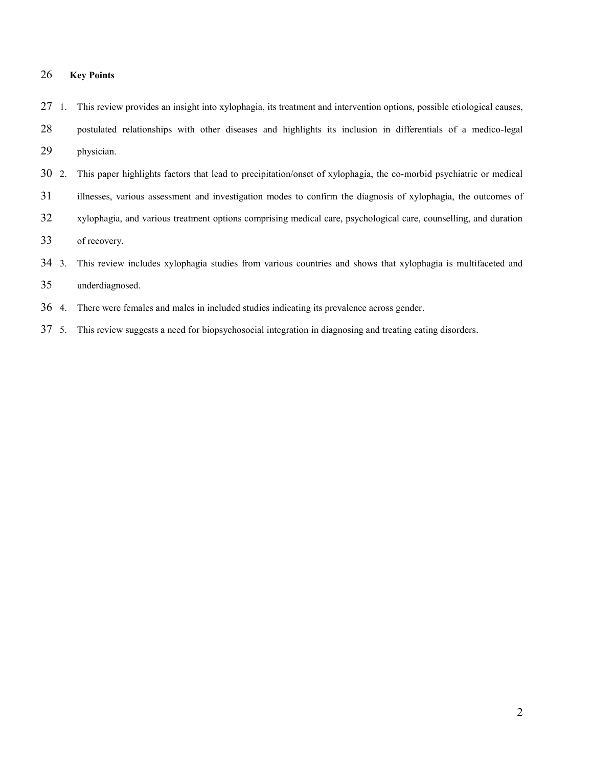# **Key Points**

|    | 27 1. This review provides an insight into xylophagia, its treatment and intervention options, possible etiological causes, |
|----|-----------------------------------------------------------------------------------------------------------------------------|
| 28 | postulated relationships with other diseases and highlights its inclusion in differentials of a medico-legal                |
| 29 | physician.                                                                                                                  |

- 2. This paper highlights factors that lead to precipitation/onset of xylophagia, the co-morbid psychiatric or medical
- illnesses, various assessment and investigation modes to confirm the diagnosis of xylophagia, the outcomes of
- xylophagia, and various treatment options comprising medical care, psychological care, counselling, and duration

of recovery.

- 3. This review includes xylophagia studies from various countries and shows that xylophagia is multifaceted and
- underdiagnosed.
- 4. There were females and males in included studies indicating its prevalence across gender.
- 5. This review suggests a need for biopsychosocial integration in diagnosing and treating eating disorders.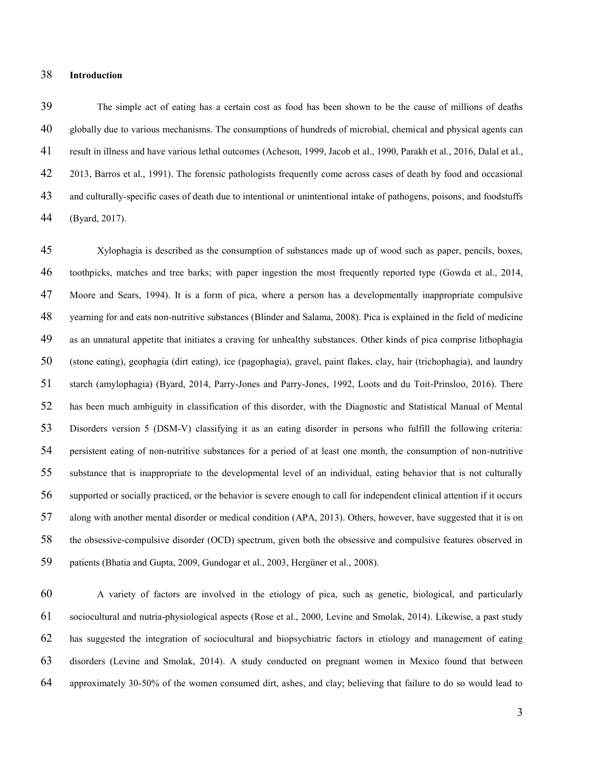### **Introduction**

The simple act of eating has a certain cost as food has been shown to be the cause of millions of deaths globally due to various mechanisms. The consumptions of hundreds of microbial, chemical and physical agents can result in illness and have various lethal outcomes (Acheson, 1999, Jacob et al., 1990, Parakh et al., 2016, Dalal et al., 2013, Barros et al., 1991). The forensic pathologists frequently come across cases of death by food and occasional and culturally-specific cases of death due to intentional or unintentional intake of pathogens, poisons, and foodstuffs (Byard, 2017).

Xylophagia is described as the consumption of substances made up of wood such as paper, pencils, boxes, toothpicks, matches and tree barks; with paper ingestion the most frequently reported type (Gowda et al., 2014, Moore and Sears, 1994). It is a form of pica, where a person has a developmentally inappropriate compulsive yearning for and eats non-nutritive substances (Blinder and Salama, 2008). Pica is explained in the field of medicine as an unnatural appetite that initiates a craving for unhealthy substances. Other kinds of pica comprise lithophagia (stone eating), geophagia (dirt eating), ice (pagophagia), gravel, paint flakes, clay, hair (trichophagia), and laundry starch (amylophagia) (Byard, 2014, Parry-Jones and Parry-Jones, 1992, Loots and du Toit-Prinsloo, 2016). There has been much ambiguity in classification of this disorder, with the Diagnostic and Statistical Manual of Mental Disorders version 5 (DSM-V) classifying it as an eating disorder in persons who fulfill the following criteria: persistent eating of non-nutritive substances for a period of at least one month, the consumption of non-nutritive substance that is inappropriate to the developmental level of an individual, eating behavior that is not culturally supported or socially practiced, or the behavior is severe enough to call for independent clinical attention if it occurs along with another mental disorder or medical condition (APA, 2013). Others, however, have suggested that it is on the obsessive-compulsive disorder (OCD) spectrum, given both the obsessive and compulsive features observed in patients (Bhatia and Gupta, 2009, Gundogar et al., 2003, Hergüner et al., 2008).

A variety of factors are involved in the etiology of pica, such as genetic, biological, and particularly sociocultural and nutria-physiological aspects (Rose et al., 2000, Levine and Smolak, 2014). Likewise, a past study has suggested the integration of sociocultural and biopsychiatric factors in etiology and management of eating disorders (Levine and Smolak, 2014). A study conducted on pregnant women in Mexico found that between approximately 30-50% of the women consumed dirt, ashes, and clay; believing that failure to do so would lead to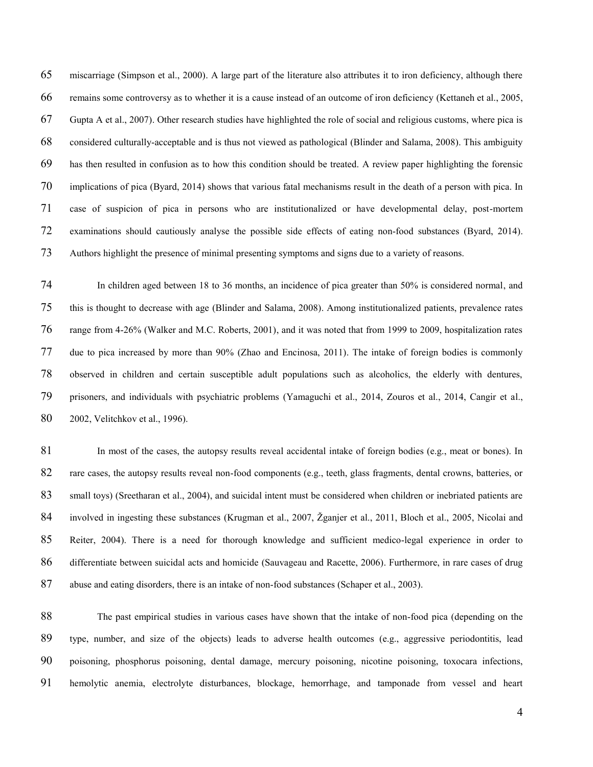miscarriage (Simpson et al., 2000). A large part of the literature also attributes it to iron deficiency, although there remains some controversy as to whether it is a cause instead of an outcome of iron deficiency (Kettaneh et al., 2005, Gupta A et al., 2007). Other research studies have highlighted the role of social and religious customs, where pica is considered culturally-acceptable and is thus not viewed as pathological (Blinder and Salama, 2008). This ambiguity has then resulted in confusion as to how this condition should be treated. A review paper highlighting the forensic implications of pica (Byard, 2014) shows that various fatal mechanisms result in the death of a person with pica. In case of suspicion of pica in persons who are institutionalized or have developmental delay, post-mortem examinations should cautiously analyse the possible side effects of eating non-food substances (Byard, 2014). Authors highlight the presence of minimal presenting symptoms and signs due to a variety of reasons.

In children aged between 18 to 36 months, an incidence of pica greater than 50% is considered normal, and this is thought to decrease with age (Blinder and Salama, 2008). Among institutionalized patients, prevalence rates range from 4-26% (Walker and M.C. Roberts, 2001), and it was noted that from 1999 to 2009, hospitalization rates due to pica increased by more than 90% (Zhao and Encinosa, 2011). The intake of foreign bodies is commonly observed in children and certain susceptible adult populations such as alcoholics, the elderly with dentures, prisoners, and individuals with psychiatric problems (Yamaguchi et al., 2014, Zouros et al., 2014, Cangir et al., 2002, Velitchkov et al., 1996).

81 In most of the cases, the autopsy results reveal accidental intake of foreign bodies (e.g., meat or bones). In rare cases, the autopsy results reveal non-food components (e.g., teeth, glass fragments, dental crowns, batteries, or 83 small toys) (Sreetharan et al., 2004), and suicidal intent must be considered when children or inebriated patients are involved in ingesting these substances (Krugman et al., 2007, Žganjer et al., 2011, Bloch et al., 2005, Nicolai and Reiter, 2004). There is a need for thorough knowledge and sufficient medico-legal experience in order to differentiate between suicidal acts and homicide (Sauvageau and Racette, 2006). Furthermore, in rare cases of drug abuse and eating disorders, there is an intake of non-food substances (Schaper et al., 2003).

The past empirical studies in various cases have shown that the intake of non-food pica (depending on the type, number, and size of the objects) leads to adverse health outcomes (e.g., aggressive periodontitis, lead poisoning, phosphorus poisoning, dental damage, mercury poisoning, nicotine poisoning, toxocara infections, hemolytic anemia, electrolyte disturbances, blockage, hemorrhage, and tamponade from vessel and heart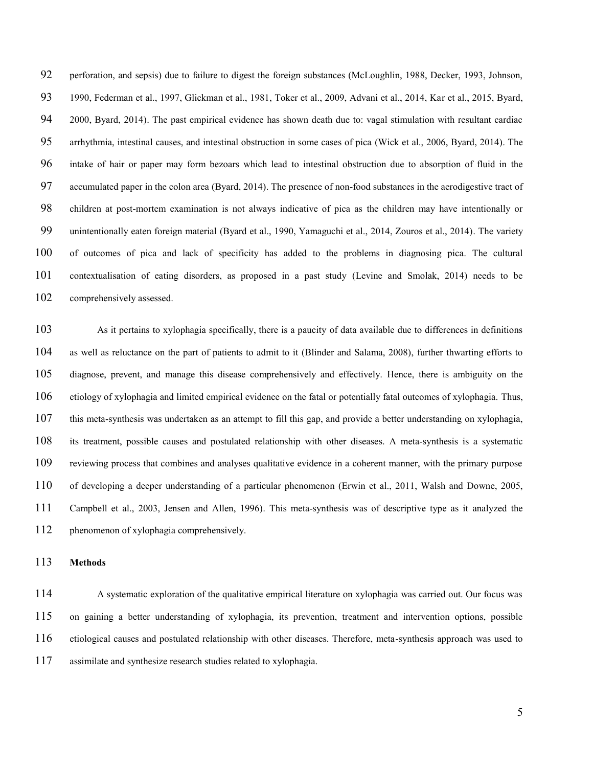perforation, and sepsis) due to failure to digest the foreign substances (McLoughlin, 1988, Decker, 1993, Johnson, 1990, Federman et al., 1997, Glickman et al., 1981, Toker et al., 2009, Advani et al., 2014, Kar et al., 2015, Byard, 2000, Byard, 2014). The past empirical evidence has shown death due to: vagal stimulation with resultant cardiac arrhythmia, intestinal causes, and intestinal obstruction in some cases of pica (Wick et al., 2006, Byard, 2014). The intake of hair or paper may form bezoars which lead to intestinal obstruction due to absorption of fluid in the accumulated paper in the colon area (Byard, 2014). The presence of non-food substances in the aerodigestive tract of children at post-mortem examination is not always indicative of pica as the children may have intentionally or unintentionally eaten foreign material (Byard et al., 1990, Yamaguchi et al., 2014, Zouros et al., 2014). The variety of outcomes of pica and lack of specificity has added to the problems in diagnosing pica. The cultural contextualisation of eating disorders, as proposed in a past study (Levine and Smolak, 2014) needs to be comprehensively assessed.

As it pertains to xylophagia specifically, there is a paucity of data available due to differences in definitions as well as reluctance on the part of patients to admit to it (Blinder and Salama, 2008), further thwarting efforts to diagnose, prevent, and manage this disease comprehensively and effectively. Hence, there is ambiguity on the etiology of xylophagia and limited empirical evidence on the fatal or potentially fatal outcomes of xylophagia. Thus, this meta-synthesis was undertaken as an attempt to fill this gap, and provide a better understanding on xylophagia, its treatment, possible causes and postulated relationship with other diseases. A meta-synthesis is a systematic reviewing process that combines and analyses qualitative evidence in a coherent manner, with the primary purpose of developing a deeper understanding of a particular phenomenon (Erwin et al., 2011, Walsh and Downe, 2005, Campbell et al., 2003, Jensen and Allen, 1996). This meta-synthesis was of descriptive type as it analyzed the phenomenon of xylophagia comprehensively.

#### **Methods**

A systematic exploration of the qualitative empirical literature on xylophagia was carried out. Our focus was on gaining a better understanding of xylophagia, its prevention, treatment and intervention options, possible etiological causes and postulated relationship with other diseases. Therefore, meta-synthesis approach was used to assimilate and synthesize research studies related to xylophagia.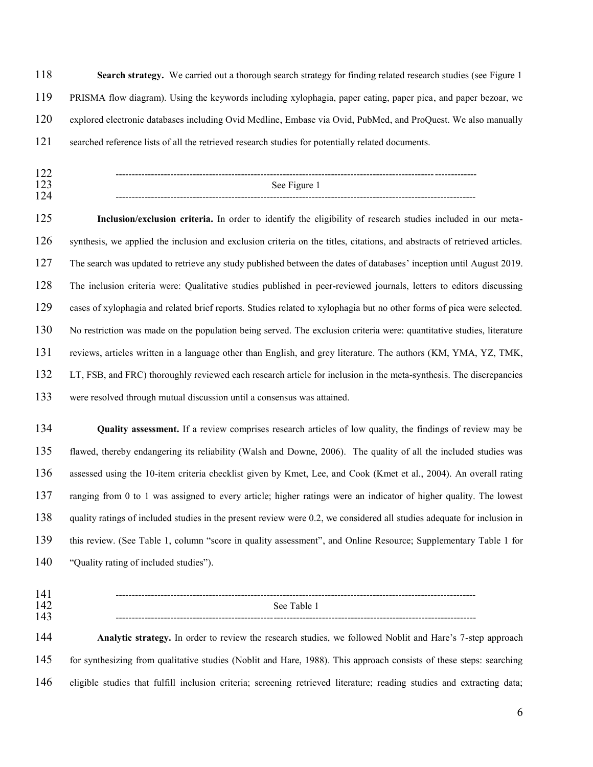**Search strategy.** We carried out a thorough search strategy for finding related research studies (see Figure 1 PRISMA flow diagram). Using the keywords including xylophagia, paper eating, paper pica, and paper bezoar, we explored electronic databases including Ovid Medline, Embase via Ovid, PubMed, and ProQuest. We also manually searched reference lists of all the retrieved research studies for potentially related documents.

---------------------------------------------------------------------------------------------------------------- See Figure 1 ----------------------------------------------------------------------------------------------------------------

**Inclusion/exclusion criteria.** In order to identify the eligibility of research studies included in our meta-synthesis, we applied the inclusion and exclusion criteria on the titles, citations, and abstracts of retrieved articles. The search was updated to retrieve any study published between the dates of databases' inception until August 2019. The inclusion criteria were: Qualitative studies published in peer-reviewed journals, letters to editors discussing cases of xylophagia and related brief reports. Studies related to xylophagia but no other forms of pica were selected. No restriction was made on the population being served. The exclusion criteria were: quantitative studies, literature reviews, articles written in a language other than English, and grey literature. The authors (KM, YMA, YZ, TMK, LT, FSB, and FRC) thoroughly reviewed each research article for inclusion in the meta-synthesis. The discrepancies were resolved through mutual discussion until a consensus was attained.

**Quality assessment.** If a review comprises research articles of low quality, the findings of review may be flawed, thereby endangering its reliability (Walsh and Downe, 2006). The quality of all the included studies was assessed using the 10-item criteria checklist given by Kmet, Lee, and Cook (Kmet et al., 2004). An overall rating ranging from 0 to 1 was assigned to every article; higher ratings were an indicator of higher quality. The lowest quality ratings of included studies in the present review were 0.2, we considered all studies adequate for inclusion in this review. (See Table 1, column "score in quality assessment", and Online Resource; Supplementary Table 1 for "Quality rating of included studies").

---------------------------------------------------------------------------------------------------------------- See Table 1 ---------------------------------------------------------------------------------------------------------------- **Analytic strategy.** In order to review the research studies, we followed Noblit and Hare's 7-step approach for synthesizing from qualitative studies (Noblit and Hare, 1988). This approach consists of these steps: searching eligible studies that fulfill inclusion criteria; screening retrieved literature; reading studies and extracting data;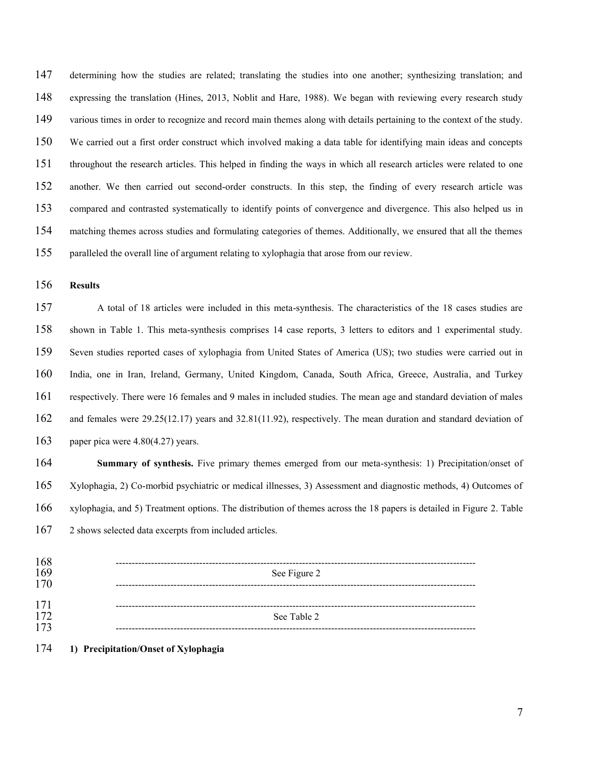determining how the studies are related; translating the studies into one another; synthesizing translation; and expressing the translation (Hines, 2013, Noblit and Hare, 1988). We began with reviewing every research study various times in order to recognize and record main themes along with details pertaining to the context of the study. We carried out a first order construct which involved making a data table for identifying main ideas and concepts throughout the research articles. This helped in finding the ways in which all research articles were related to one another. We then carried out second-order constructs. In this step, the finding of every research article was compared and contrasted systematically to identify points of convergence and divergence. This also helped us in matching themes across studies and formulating categories of themes. Additionally, we ensured that all the themes paralleled the overall line of argument relating to xylophagia that arose from our review.

**Results** 

A total of 18 articles were included in this meta-synthesis. The characteristics of the 18 cases studies are shown in Table 1. This meta-synthesis comprises 14 case reports, 3 letters to editors and 1 experimental study. Seven studies reported cases of xylophagia from United States of America (US); two studies were carried out in India, one in Iran, Ireland, Germany, United Kingdom, Canada, South Africa, Greece, Australia, and Turkey respectively. There were 16 females and 9 males in included studies. The mean age and standard deviation of males and females were 29.25(12.17) years and 32.81(11.92), respectively. The mean duration and standard deviation of paper pica were 4.80(4.27) years.

**Summary of synthesis.** Five primary themes emerged from our meta-synthesis: 1) Precipitation/onset of Xylophagia, 2) Co-morbid psychiatric or medical illnesses, 3) Assessment and diagnostic methods, 4) Outcomes of xylophagia, and 5) Treatment options. The distribution of themes across the 18 papers is detailed in Figure 2. Table 2 shows selected data excerpts from included articles.

| 168 |              |
|-----|--------------|
| 169 | See Figure 2 |
| 170 |              |
|     |              |
| 171 |              |
| 172 | See Table 2  |
| 173 |              |
|     |              |

## **1) Precipitation/Onset of Xylophagia**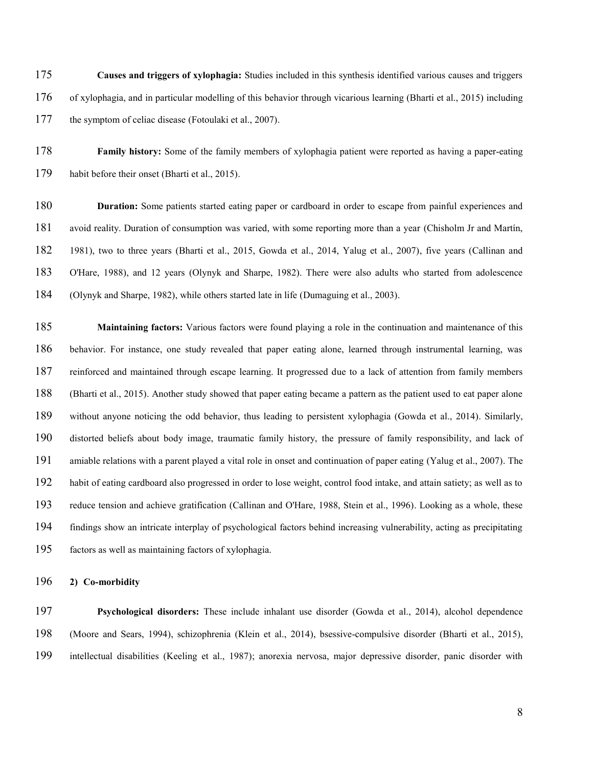**Causes and triggers of xylophagia:** Studies included in this synthesis identified various causes and triggers of xylophagia, and in particular modelling of this behavior through vicarious learning (Bharti et al., 2015) including the symptom of celiac disease (Fotoulaki et al., 2007).

**Family history:** Some of the family members of xylophagia patient were reported as having a paper-eating habit before their onset (Bharti et al., 2015).

**Duration:** Some patients started eating paper or cardboard in order to escape from painful experiences and avoid reality. Duration of consumption was varied, with some reporting more than a year (Chisholm Jr and Martín, 1981), two to three years (Bharti et al., 2015, Gowda et al., 2014, Yalug et al., 2007), five years (Callinan and O'Hare, 1988), and 12 years (Olynyk and Sharpe, 1982). There were also adults who started from adolescence (Olynyk and Sharpe, 1982), while others started late in life (Dumaguing et al., 2003).

**Maintaining factors:** Various factors were found playing a role in the continuation and maintenance of this behavior. For instance, one study revealed that paper eating alone, learned through instrumental learning, was reinforced and maintained through escape learning. It progressed due to a lack of attention from family members (Bharti et al., 2015). Another study showed that paper eating became a pattern as the patient used to eat paper alone without anyone noticing the odd behavior, thus leading to persistent xylophagia (Gowda et al., 2014). Similarly, distorted beliefs about body image, traumatic family history, the pressure of family responsibility, and lack of amiable relations with a parent played a vital role in onset and continuation of paper eating (Yalug et al., 2007). The habit of eating cardboard also progressed in order to lose weight, control food intake, and attain satiety; as well as to reduce tension and achieve gratification (Callinan and O'Hare, 1988, Stein et al., 1996). Looking as a whole, these findings show an intricate interplay of psychological factors behind increasing vulnerability, acting as precipitating factors as well as maintaining factors of xylophagia.

**2) Co-morbidity** 

**Psychological disorders:** These include inhalant use disorder (Gowda et al., 2014), alcohol dependence (Moore and Sears, 1994), schizophrenia (Klein et al., 2014), bsessive-compulsive disorder (Bharti et al., 2015), intellectual disabilities (Keeling et al., 1987); anorexia nervosa, major depressive disorder, panic disorder with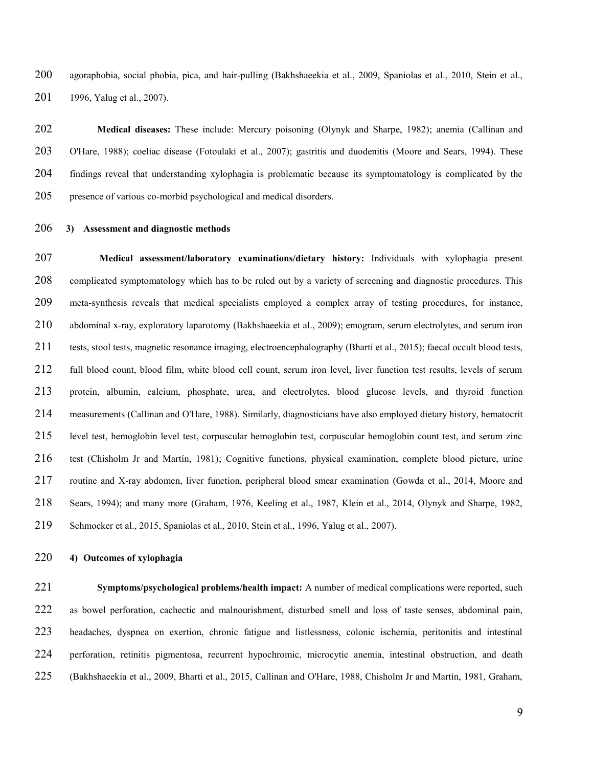agoraphobia, social phobia, pica, and hair-pulling (Bakhshaeekia et al., 2009, Spaniolas et al., 2010, Stein et al., 1996, Yalug et al., 2007).

**Medical diseases:** These include: Mercury poisoning (Olynyk and Sharpe, 1982); anemia (Callinan and O'Hare, 1988); coeliac disease (Fotoulaki et al., 2007); gastritis and duodenitis (Moore and Sears, 1994). These findings reveal that understanding xylophagia is problematic because its symptomatology is complicated by the presence of various co-morbid psychological and medical disorders.

#### **3) Assessment and diagnostic methods**

**Medical assessment/laboratory examinations/dietary history:** Individuals with xylophagia present complicated symptomatology which has to be ruled out by a variety of screening and diagnostic procedures. This meta-synthesis reveals that medical specialists employed a complex array of testing procedures, for instance, abdominal x-ray, exploratory laparotomy (Bakhshaeekia et al., 2009); emogram, serum electrolytes, and serum iron tests, stool tests, magnetic resonance imaging, electroencephalography (Bharti et al., 2015); faecal occult blood tests, full blood count, blood film, white blood cell count, serum iron level, liver function test results, levels of serum protein, albumin, calcium, phosphate, urea, and electrolytes, blood glucose levels, and thyroid function measurements (Callinan and O'Hare, 1988). Similarly, diagnosticians have also employed dietary history, hematocrit level test, hemoglobin level test, corpuscular hemoglobin test, corpuscular hemoglobin count test, and serum zinc test (Chisholm Jr and Martín, 1981); Cognitive functions, physical examination, complete blood picture, urine routine and X-ray abdomen, liver function, peripheral blood smear examination (Gowda et al., 2014, Moore and Sears, 1994); and many more (Graham, 1976, Keeling et al., 1987, Klein et al., 2014, Olynyk and Sharpe, 1982, Schmocker et al., 2015, Spaniolas et al., 2010, Stein et al., 1996, Yalug et al., 2007).

#### **4) Outcomes of xylophagia**

**Symptoms/psychological problems/health impact:** A number of medical complications were reported, such as bowel perforation, cachectic and malnourishment, disturbed smell and loss of taste senses, abdominal pain, headaches, dyspnea on exertion, chronic fatigue and listlessness, colonic ischemia, peritonitis and intestinal perforation, retinitis pigmentosa, recurrent hypochromic, microcytic anemia, intestinal obstruction, and death (Bakhshaeekia et al., 2009, Bharti et al., 2015, Callinan and O'Hare, 1988, Chisholm Jr and Martín, 1981, Graham,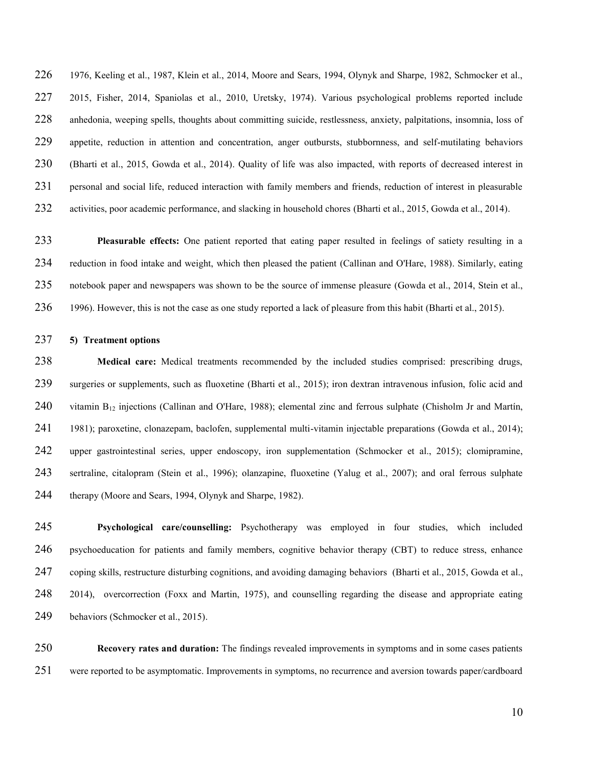1976, Keeling et al., 1987, Klein et al., 2014, Moore and Sears, 1994, Olynyk and Sharpe, 1982, Schmocker et al., 2015, Fisher, 2014, Spaniolas et al., 2010, Uretsky, 1974). Various psychological problems reported include anhedonia, weeping spells, thoughts about committing suicide, restlessness, anxiety, palpitations, insomnia, loss of appetite, reduction in attention and concentration, anger outbursts, stubbornness, and self-mutilating behaviors (Bharti et al., 2015, Gowda et al., 2014). Quality of life was also impacted, with reports of decreased interest in personal and social life, reduced interaction with family members and friends, reduction of interest in pleasurable activities, poor academic performance, and slacking in household chores (Bharti et al., 2015, Gowda et al., 2014).

**Pleasurable effects:** One patient reported that eating paper resulted in feelings of satiety resulting in a reduction in food intake and weight, which then pleased the patient (Callinan and O'Hare, 1988). Similarly, eating notebook paper and newspapers was shown to be the source of immense pleasure (Gowda et al., 2014, Stein et al., 1996). However, this is not the case as one study reported a lack of pleasure from this habit (Bharti et al., 2015).

## **5) Treatment options**

**Medical care:** Medical treatments recommended by the included studies comprised: prescribing drugs, surgeries or supplements, such as fluoxetine (Bharti et al., 2015); iron dextran intravenous infusion, folic acid and vitamin B12 injections (Callinan and O'Hare, 1988); elemental zinc and ferrous sulphate (Chisholm Jr and Martín, 1981); paroxetine, clonazepam, baclofen, supplemental multi-vitamin injectable preparations (Gowda et al., 2014); upper gastrointestinal series, upper endoscopy, iron supplementation (Schmocker et al., 2015); clomipramine, sertraline, citalopram (Stein et al., 1996); olanzapine, fluoxetine (Yalug et al., 2007); and oral ferrous sulphate therapy (Moore and Sears, 1994, Olynyk and Sharpe, 1982).

**Psychological care/counselling:** Psychotherapy was employed in four studies, which included 246 psychoeducation for patients and family members, cognitive behavior therapy (CBT) to reduce stress, enhance coping skills, restructure disturbing cognitions, and avoiding damaging behaviors (Bharti et al., 2015, Gowda et al., 2014), overcorrection (Foxx and Martin, 1975), and counselling regarding the disease and appropriate eating 249 behaviors (Schmocker et al., 2015).

**Recovery rates and duration:** The findings revealed improvements in symptoms and in some cases patients were reported to be asymptomatic. Improvements in symptoms, no recurrence and aversion towards paper/cardboard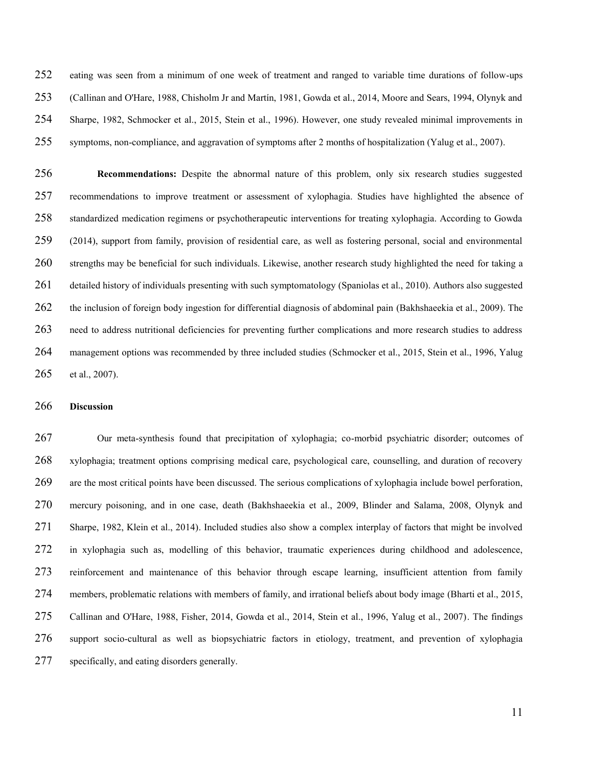eating was seen from a minimum of one week of treatment and ranged to variable time durations of follow-ups (Callinan and O'Hare, 1988, Chisholm Jr and Martín, 1981, Gowda et al., 2014, Moore and Sears, 1994, Olynyk and Sharpe, 1982, Schmocker et al., 2015, Stein et al., 1996). However, one study revealed minimal improvements in symptoms, non-compliance, and aggravation of symptoms after 2 months of hospitalization (Yalug et al., 2007).

**Recommendations:** Despite the abnormal nature of this problem, only six research studies suggested recommendations to improve treatment or assessment of xylophagia. Studies have highlighted the absence of standardized medication regimens or psychotherapeutic interventions for treating xylophagia. According to Gowda (2014), support from family, provision of residential care, as well as fostering personal, social and environmental strengths may be beneficial for such individuals. Likewise, another research study highlighted the need for taking a detailed history of individuals presenting with such symptomatology (Spaniolas et al., 2010). Authors also suggested the inclusion of foreign body ingestion for differential diagnosis of abdominal pain (Bakhshaeekia et al., 2009). The need to address nutritional deficiencies for preventing further complications and more research studies to address management options was recommended by three included studies (Schmocker et al., 2015, Stein et al., 1996, Yalug et al., 2007).

# **Discussion**

Our meta-synthesis found that precipitation of xylophagia; co-morbid psychiatric disorder; outcomes of xylophagia; treatment options comprising medical care, psychological care, counselling, and duration of recovery are the most critical points have been discussed. The serious complications of xylophagia include bowel perforation, mercury poisoning, and in one case, death (Bakhshaeekia et al., 2009, Blinder and Salama, 2008, Olynyk and Sharpe, 1982, Klein et al., 2014). Included studies also show a complex interplay of factors that might be involved in xylophagia such as, modelling of this behavior, traumatic experiences during childhood and adolescence, reinforcement and maintenance of this behavior through escape learning, insufficient attention from family members, problematic relations with members of family, and irrational beliefs about body image (Bharti et al., 2015, Callinan and O'Hare, 1988, Fisher, 2014, Gowda et al., 2014, Stein et al., 1996, Yalug et al., 2007). The findings support socio-cultural as well as biopsychiatric factors in etiology, treatment, and prevention of xylophagia specifically, and eating disorders generally.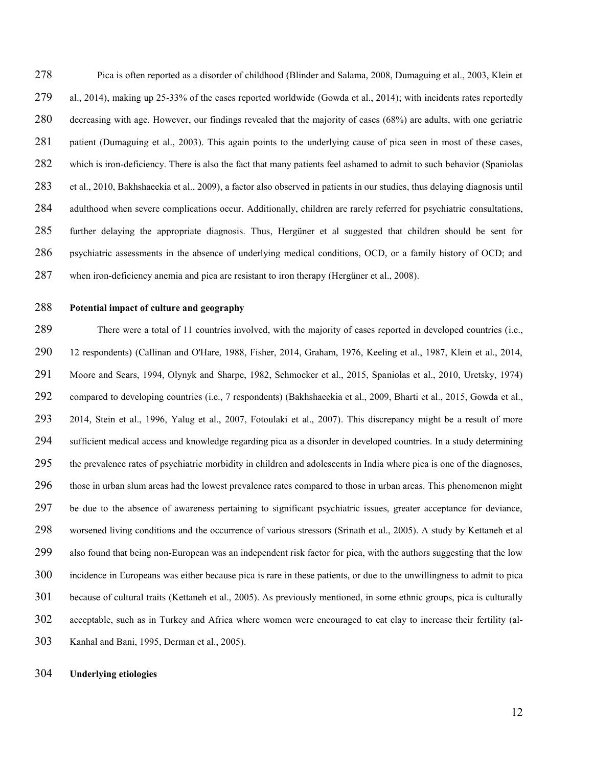Pica is often reported as a disorder of childhood (Blinder and Salama, 2008, Dumaguing et al., 2003, Klein et al., 2014), making up 25-33% of the cases reported worldwide (Gowda et al., 2014); with incidents rates reportedly decreasing with age. However, our findings revealed that the majority of cases (68%) are adults, with one geriatric patient (Dumaguing et al., 2003). This again points to the underlying cause of pica seen in most of these cases, which is iron-deficiency. There is also the fact that many patients feel ashamed to admit to such behavior (Spaniolas et al., 2010, Bakhshaeekia et al., 2009), a factor also observed in patients in our studies, thus delaying diagnosis until adulthood when severe complications occur. Additionally, children are rarely referred for psychiatric consultations, further delaying the appropriate diagnosis. Thus, Hergüner et al suggested that children should be sent for psychiatric assessments in the absence of underlying medical conditions, OCD, or a family history of OCD; and when iron-deficiency anemia and pica are resistant to iron therapy (Hergüner et al., 2008).

# **Potential impact of culture and geography**

There were a total of 11 countries involved, with the majority of cases reported in developed countries (i.e., 12 respondents) (Callinan and O'Hare, 1988, Fisher, 2014, Graham, 1976, Keeling et al., 1987, Klein et al., 2014, Moore and Sears, 1994, Olynyk and Sharpe, 1982, Schmocker et al., 2015, Spaniolas et al., 2010, Uretsky, 1974) compared to developing countries (i.e., 7 respondents) (Bakhshaeekia et al., 2009, Bharti et al., 2015, Gowda et al., 2014, Stein et al., 1996, Yalug et al., 2007, Fotoulaki et al., 2007). This discrepancy might be a result of more sufficient medical access and knowledge regarding pica as a disorder in developed countries. In a study determining the prevalence rates of psychiatric morbidity in children and adolescents in India where pica is one of the diagnoses, those in urban slum areas had the lowest prevalence rates compared to those in urban areas. This phenomenon might be due to the absence of awareness pertaining to significant psychiatric issues, greater acceptance for deviance, worsened living conditions and the occurrence of various stressors (Srinath et al., 2005). A study by Kettaneh et al also found that being non-European was an independent risk factor for pica, with the authors suggesting that the low incidence in Europeans was either because pica is rare in these patients, or due to the unwillingness to admit to pica because of cultural traits (Kettaneh et al., 2005). As previously mentioned, in some ethnic groups, pica is culturally acceptable, such as in Turkey and Africa where women were encouraged to eat clay to increase their fertility (al-Kanhal and Bani, 1995, Derman et al., 2005).

## **Underlying etiologies**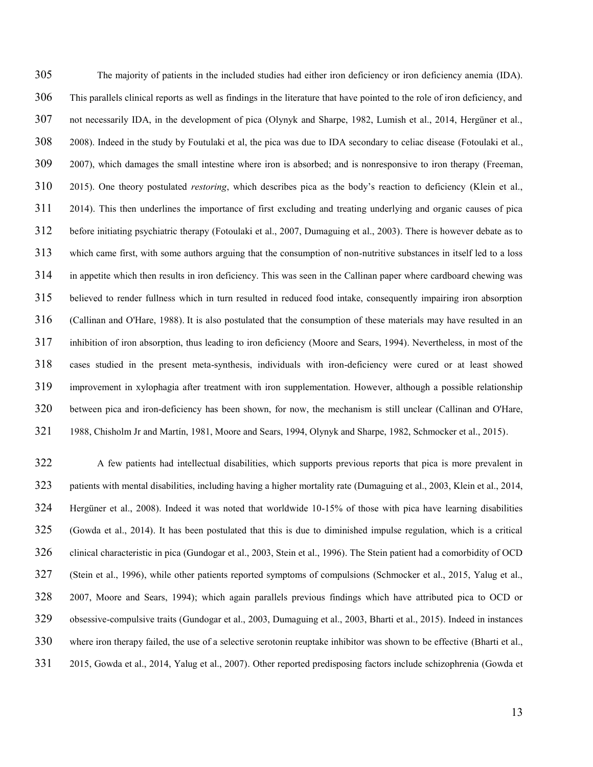The majority of patients in the included studies had either iron deficiency or iron deficiency anemia (IDA). This parallels clinical reports as well as findings in the literature that have pointed to the role of iron deficiency, and not necessarily IDA, in the development of pica (Olynyk and Sharpe, 1982, Lumish et al., 2014, Hergüner et al., 2008). Indeed in the study by Foutulaki et al, the pica was due to IDA secondary to celiac disease (Fotoulaki et al., 2007), which damages the small intestine where iron is absorbed; and is nonresponsive to iron therapy (Freeman, 2015). One theory postulated *restoring*, which describes pica as the body's reaction to deficiency (Klein et al., 2014). This then underlines the importance of first excluding and treating underlying and organic causes of pica before initiating psychiatric therapy (Fotoulaki et al., 2007, Dumaguing et al., 2003). There is however debate as to which came first, with some authors arguing that the consumption of non-nutritive substances in itself led to a loss in appetite which then results in iron deficiency. This was seen in the Callinan paper where cardboard chewing was believed to render fullness which in turn resulted in reduced food intake, consequently impairing iron absorption (Callinan and O'Hare, 1988). It is also postulated that the consumption of these materials may have resulted in an inhibition of iron absorption, thus leading to iron deficiency (Moore and Sears, 1994). Nevertheless, in most of the cases studied in the present meta-synthesis, individuals with iron-deficiency were cured or at least showed improvement in xylophagia after treatment with iron supplementation. However, although a possible relationship between pica and iron-deficiency has been shown, for now, the mechanism is still unclear (Callinan and O'Hare, 1988, Chisholm Jr and Martín, 1981, Moore and Sears, 1994, Olynyk and Sharpe, 1982, Schmocker et al., 2015).

A few patients had intellectual disabilities, which supports previous reports that pica is more prevalent in patients with mental disabilities, including having a higher mortality rate (Dumaguing et al., 2003, Klein et al., 2014, Hergüner et al., 2008). Indeed it was noted that worldwide 10-15% of those with pica have learning disabilities (Gowda et al., 2014). It has been postulated that this is due to diminished impulse regulation, which is a critical clinical characteristic in pica (Gundogar et al., 2003, Stein et al., 1996). The Stein patient had a comorbidity of OCD (Stein et al., 1996), while other patients reported symptoms of compulsions (Schmocker et al., 2015, Yalug et al., 2007, Moore and Sears, 1994); which again parallels previous findings which have attributed pica to OCD or obsessive-compulsive traits (Gundogar et al., 2003, Dumaguing et al., 2003, Bharti et al., 2015). Indeed in instances where iron therapy failed, the use of a selective serotonin reuptake inhibitor was shown to be effective (Bharti et al., 2015, Gowda et al., 2014, Yalug et al., 2007). Other reported predisposing factors include schizophrenia (Gowda et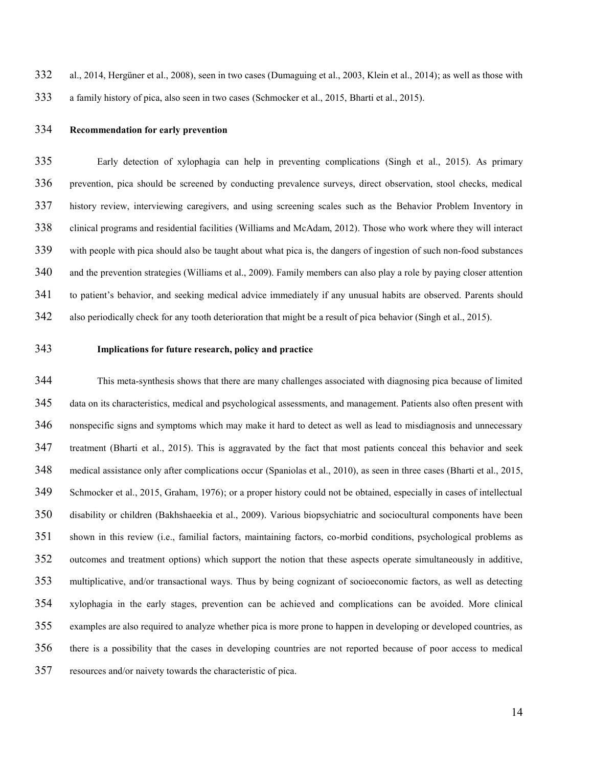al., 2014, Hergüner et al., 2008), seen in two cases (Dumaguing et al., 2003, Klein et al., 2014); as well as those with a family history of pica, also seen in two cases (Schmocker et al., 2015, Bharti et al., 2015).

# **Recommendation for early prevention**

Early detection of xylophagia can help in preventing complications (Singh et al., 2015). As primary prevention, pica should be screened by conducting prevalence surveys, direct observation, stool checks, medical history review, interviewing caregivers, and using screening scales such as the Behavior Problem Inventory in clinical programs and residential facilities (Williams and McAdam, 2012). Those who work where they will interact with people with pica should also be taught about what pica is, the dangers of ingestion of such non-food substances and the prevention strategies (Williams et al., 2009). Family members can also play a role by paying closer attention to patient's behavior, and seeking medical advice immediately if any unusual habits are observed. Parents should also periodically check for any tooth deterioration that might be a result of pica behavior (Singh et al., 2015).

# **Implications for future research, policy and practice**

This meta-synthesis shows that there are many challenges associated with diagnosing pica because of limited data on its characteristics, medical and psychological assessments, and management. Patients also often present with nonspecific signs and symptoms which may make it hard to detect as well as lead to misdiagnosis and unnecessary treatment (Bharti et al., 2015). This is aggravated by the fact that most patients conceal this behavior and seek medical assistance only after complications occur (Spaniolas et al., 2010), as seen in three cases (Bharti et al., 2015, Schmocker et al., 2015, Graham, 1976); or a proper history could not be obtained, especially in cases of intellectual disability or children (Bakhshaeekia et al., 2009). Various biopsychiatric and sociocultural components have been shown in this review (i.e., familial factors, maintaining factors, co-morbid conditions, psychological problems as outcomes and treatment options) which support the notion that these aspects operate simultaneously in additive, multiplicative, and/or transactional ways. Thus by being cognizant of socioeconomic factors, as well as detecting xylophagia in the early stages, prevention can be achieved and complications can be avoided. More clinical examples are also required to analyze whether pica is more prone to happen in developing or developed countries, as there is a possibility that the cases in developing countries are not reported because of poor access to medical resources and/or naivety towards the characteristic of pica.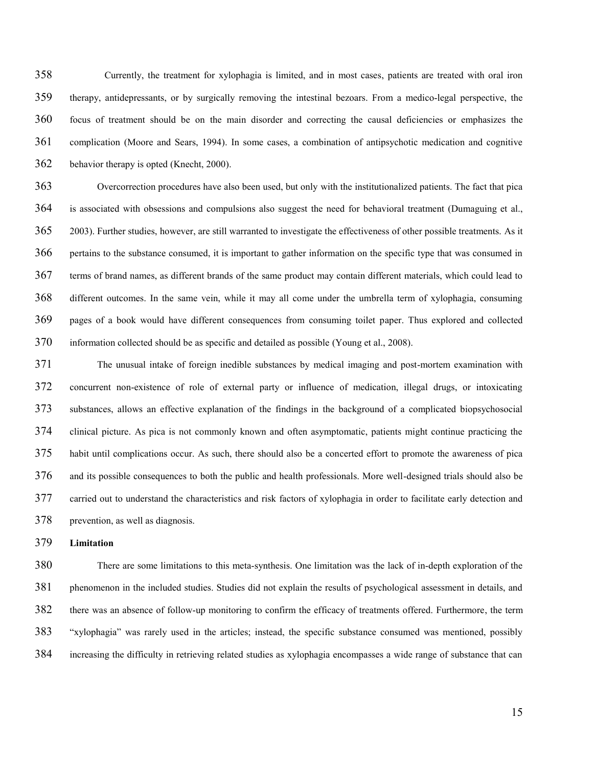Currently, the treatment for xylophagia is limited, and in most cases, patients are treated with oral iron therapy, antidepressants, or by surgically removing the intestinal bezoars. From a medico-legal perspective, the focus of treatment should be on the main disorder and correcting the causal deficiencies or emphasizes the complication (Moore and Sears, 1994). In some cases, a combination of antipsychotic medication and cognitive behavior therapy is opted (Knecht, 2000).

Overcorrection procedures have also been used, but only with the institutionalized patients. The fact that pica is associated with obsessions and compulsions also suggest the need for behavioral treatment (Dumaguing et al., 2003). Further studies, however, are still warranted to investigate the effectiveness of other possible treatments. As it pertains to the substance consumed, it is important to gather information on the specific type that was consumed in terms of brand names, as different brands of the same product may contain different materials, which could lead to different outcomes. In the same vein, while it may all come under the umbrella term of xylophagia, consuming pages of a book would have different consequences from consuming toilet paper. Thus explored and collected information collected should be as specific and detailed as possible (Young et al., 2008).

The unusual intake of foreign inedible substances by medical imaging and post-mortem examination with concurrent non-existence of role of external party or influence of medication, illegal drugs, or intoxicating substances, allows an effective explanation of the findings in the background of a complicated biopsychosocial clinical picture. As pica is not commonly known and often asymptomatic, patients might continue practicing the habit until complications occur. As such, there should also be a concerted effort to promote the awareness of pica and its possible consequences to both the public and health professionals. More well-designed trials should also be carried out to understand the characteristics and risk factors of xylophagia in order to facilitate early detection and prevention, as well as diagnosis.

**Limitation** 

There are some limitations to this meta-synthesis. One limitation was the lack of in-depth exploration of the phenomenon in the included studies. Studies did not explain the results of psychological assessment in details, and there was an absence of follow-up monitoring to confirm the efficacy of treatments offered. Furthermore, the term "xylophagia" was rarely used in the articles; instead, the specific substance consumed was mentioned, possibly increasing the difficulty in retrieving related studies as xylophagia encompasses a wide range of substance that can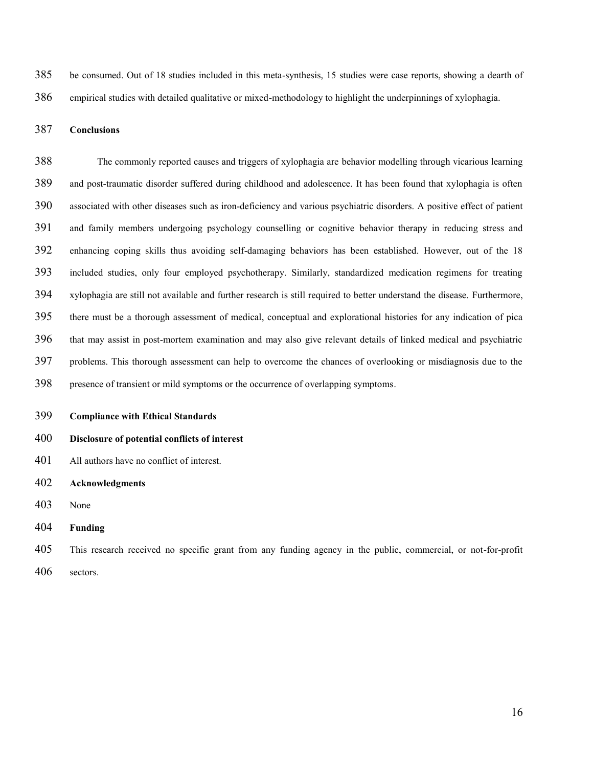be consumed. Out of 18 studies included in this meta-synthesis, 15 studies were case reports, showing a dearth of empirical studies with detailed qualitative or mixed-methodology to highlight the underpinnings of xylophagia.

# **Conclusions**

The commonly reported causes and triggers of xylophagia are behavior modelling through vicarious learning and post-traumatic disorder suffered during childhood and adolescence. It has been found that xylophagia is often associated with other diseases such as iron-deficiency and various psychiatric disorders. A positive effect of patient and family members undergoing psychology counselling or cognitive behavior therapy in reducing stress and enhancing coping skills thus avoiding self-damaging behaviors has been established. However, out of the 18 included studies, only four employed psychotherapy. Similarly, standardized medication regimens for treating xylophagia are still not available and further research is still required to better understand the disease. Furthermore, there must be a thorough assessment of medical, conceptual and explorational histories for any indication of pica that may assist in post-mortem examination and may also give relevant details of linked medical and psychiatric problems. This thorough assessment can help to overcome the chances of overlooking or misdiagnosis due to the presence of transient or mild symptoms or the occurrence of overlapping symptoms.

**Compliance with Ethical Standards** 

# **Disclosure of potential conflicts of interest**

- All authors have no conflict of interest.
- **Acknowledgments**
- None
- **Funding**
- This research received no specific grant from any funding agency in the public, commercial, or not-for-profit
- sectors.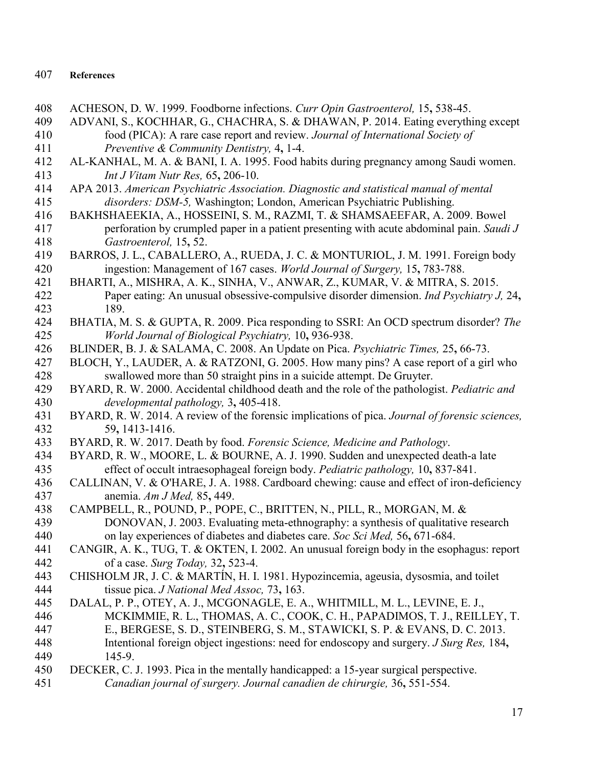# 407 **References**

- 408 ACHESON, D. W. 1999. Foodborne infections. *Curr Opin Gastroenterol,* 15**,** 538-45.
- 409 ADVANI, S., KOCHHAR, G., CHACHRA, S. & DHAWAN, P. 2014. Eating everything except 410 food (PICA): A rare case report and review. *Journal of International Society of*  411 *Preventive & Community Dentistry,* 4**,** 1-4.
- 412 AL-KANHAL, M. A. & BANI, I. A. 1995. Food habits during pregnancy among Saudi women. 413 *Int J Vitam Nutr Res,* 65**,** 206-10.
- 414 APA 2013. *American Psychiatric Association. Diagnostic and statistical manual of mental*  415 *disorders: DSM-5,* Washington; London, American Psychiatric Publishing.
- 416 BAKHSHAEEKIA, A., HOSSEINI, S. M., RAZMI, T. & SHAMSAEEFAR, A. 2009. Bowel 417 perforation by crumpled paper in a patient presenting with acute abdominal pain. *Saudi J*  418 *Gastroenterol,* 15**,** 52.
- 419 BARROS, J. L., CABALLERO, A., RUEDA, J. C. & MONTURIOL, J. M. 1991. Foreign body 420 ingestion: Management of 167 cases. *World Journal of Surgery,* 15**,** 783-788.
- 421 BHARTI, A., MISHRA, A. K., SINHA, V., ANWAR, Z., KUMAR, V. & MITRA, S. 2015. 422 Paper eating: An unusual obsessive-compulsive disorder dimension. *Ind Psychiatry J,* 24**,** 423 189.
- 424 BHATIA, M. S. & GUPTA, R. 2009. Pica responding to SSRI: An OCD spectrum disorder? *The*  425 *World Journal of Biological Psychiatry,* 10**,** 936-938.
- 426 BLINDER, B. J. & SALAMA, C. 2008. An Update on Pica. *Psychiatric Times,* 25**,** 66-73.
- 427 BLOCH, Y., LAUDER, A. & RATZONI, G. 2005. How many pins? A case report of a girl who 428 swallowed more than 50 straight pins in a suicide attempt. De Gruyter.
- 429 BYARD, R. W. 2000. Accidental childhood death and the role of the pathologist. *Pediatric and*  430 *developmental pathology,* 3**,** 405-418.
- 431 BYARD, R. W. 2014. A review of the forensic implications of pica. *Journal of forensic sciences,* 432 59**,** 1413-1416.
- 433 BYARD, R. W. 2017. Death by food. *Forensic Science, Medicine and Pathology*.
- 434 BYARD, R. W., MOORE, L. & BOURNE, A. J. 1990. Sudden and unexpected death-a late 435 effect of occult intraesophageal foreign body. *Pediatric pathology,* 10**,** 837-841.
- 436 CALLINAN, V. & O'HARE, J. A. 1988. Cardboard chewing: cause and effect of iron-deficiency 437 anemia. *Am J Med,* 85**,** 449.
- 438 CAMPBELL, R., POUND, P., POPE, C., BRITTEN, N., PILL, R., MORGAN, M. & 439 DONOVAN, J. 2003. Evaluating meta-ethnography: a synthesis of qualitative
- DONOVAN, J. 2003. Evaluating meta-ethnography: a synthesis of qualitative research 440 on lay experiences of diabetes and diabetes care. *Soc Sci Med,* 56**,** 671-684.
- 441 CANGIR, A. K., TUG, T. & OKTEN, I. 2002. An unusual foreign body in the esophagus: report 442 of a case. *Surg Today,* 32**,** 523-4.
- 443 CHISHOLM JR, J. C. & MARTÍN, H. I. 1981. Hypozincemia, ageusia, dysosmia, and toilet 444 tissue pica. *J National Med Assoc,* 73**,** 163.
- 445 DALAL, P. P., OTEY, A. J., MCGONAGLE, E. A., WHITMILL, M. L., LEVINE, E. J., 446 MCKIMMIE, R. L., THOMAS, A. C., COOK, C. H., PAPADIMOS, T. J., REILLEY, T. 447 E., BERGESE, S. D., STEINBERG, S. M., STAWICKI, S. P. & EVANS, D. C. 2013. 448 Intentional foreign object ingestions: need for endoscopy and surgery. *J Surg Res,* 184**,** 449 145-9.
- 450 DECKER, C. J. 1993. Pica in the mentally handicapped: a 15-year surgical perspective.
- 451 *Canadian journal of surgery. Journal canadien de chirurgie,* 36**,** 551-554.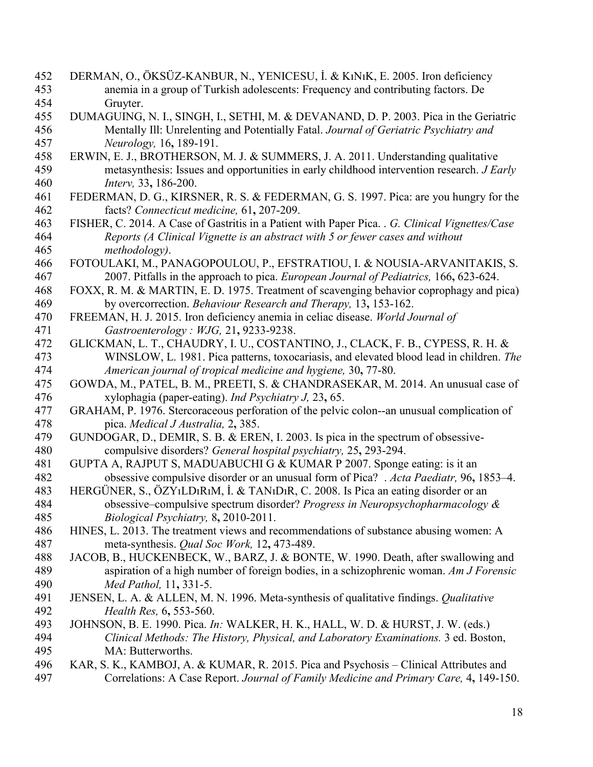- 452 DERMAN, O., ÖKSÜZ-KANBUR, N., YENICESU, İ. & KıNıK, E. 2005. Iron deficiency 453 anemia in a group of Turkish adolescents: Frequency and contributing factors. De 454 Gruyter.
- 455 DUMAGUING, N. I., SINGH, I., SETHI, M. & DEVANAND, D. P. 2003. Pica in the Geriatric 456 Mentally Ill: Unrelenting and Potentially Fatal. *Journal of Geriatric Psychiatry and*  457 *Neurology,* 16**,** 189-191.
- 458 ERWIN, E. J., BROTHERSON, M. J. & SUMMERS, J. A. 2011. Understanding qualitative 459 metasynthesis: Issues and opportunities in early childhood intervention research. *J Early*  460 *Interv,* 33**,** 186-200.
- 461 FEDERMAN, D. G., KIRSNER, R. S. & FEDERMAN, G. S. 1997. Pica: are you hungry for the 462 facts? *Connecticut medicine,* 61**,** 207-209.
- 463 FISHER, C. 2014. A Case of Gastritis in a Patient with Paper Pica. . *G. Clinical Vignettes/Case*  464 *Reports (A Clinical Vignette is an abstract with 5 or fewer cases and without*  465 *methodology)*.
- 466 FOTOULAKI, M., PANAGOPOULOU, P., EFSTRATIOU, I. & NOUSIA-ARVANITAKIS, S. 467 2007. Pitfalls in the approach to pica. *European Journal of Pediatrics,* 166**,** 623-624.
- 468 FOXX, R. M. & MARTIN, E. D. 1975. Treatment of scavenging behavior coprophagy and pica) 469 by overcorrection. *Behaviour Research and Therapy,* 13**,** 153-162.
- 470 FREEMAN, H. J. 2015. Iron deficiency anemia in celiac disease. *World Journal of*  471 *Gastroenterology : WJG,* 21**,** 9233-9238.
- 472 GLICKMAN, L. T., CHAUDRY, I. U., COSTANTINO, J., CLACK, F. B., CYPESS, R. H. & 473 WINSLOW, L. 1981. Pica patterns, toxocariasis, and elevated blood lead in children. *The*  474 *American journal of tropical medicine and hygiene,* 30**,** 77-80.
- 475 GOWDA, M., PATEL, B. M., PREETI, S. & CHANDRASEKAR, M. 2014. An unusual case of 476 xylophagia (paper-eating). *Ind Psychiatry J,* 23**,** 65.
- 477 GRAHAM, P. 1976. Stercoraceous perforation of the pelvic colon--an unusual complication of 478 pica. *Medical J Australia,* 2**,** 385.
- 479 GUNDOGAR, D., DEMIR, S. B. & EREN, I. 2003. Is pica in the spectrum of obsessive-480 compulsive disorders? *General hospital psychiatry,* 25**,** 293-294.
- 481 GUPTA A, RAJPUT S, MADUABUCHI G & KUMAR P 2007. Sponge eating: is it an 482 obsessive compulsive disorder or an unusual form of Pica? . *Acta Paediatr,* 96**,** 1853–4.
- 483 HERGÜNER, S., ÖZYıLDıRıM, İ. & TANıDıR, C. 2008. Is Pica an eating disorder or an 484 obsessive–compulsive spectrum disorder? *Progress in Neuropsychopharmacology &*  485 *Biological Psychiatry,* 8**,** 2010-2011.
- 486 HINES, L. 2013. The treatment views and recommendations of substance abusing women: A 487 meta-synthesis. *Qual Soc Work,* 12**,** 473-489.
- 488 JACOB, B., HUCKENBECK, W., BARZ, J. & BONTE, W. 1990. Death, after swallowing and 489 aspiration of a high number of foreign bodies, in a schizophrenic woman. *Am J Forensic*  490 *Med Pathol,* 11**,** 331-5.
- 491 JENSEN, L. A. & ALLEN, M. N. 1996. Meta-synthesis of qualitative findings. *Qualitative*  492 *Health Res,* 6**,** 553-560.
- 493 JOHNSON, B. E. 1990. Pica. *In:* WALKER, H. K., HALL, W. D. & HURST, J. W. (eds.) 494 *Clinical Methods: The History, Physical, and Laboratory Examinations.* 3 ed. Boston, 495 MA: Butterworths.
- 496 KAR, S. K., KAMBOJ, A. & KUMAR, R. 2015. Pica and Psychosis Clinical Attributes and 497 Correlations: A Case Report. *Journal of Family Medicine and Primary Care,* 4**,** 149-150.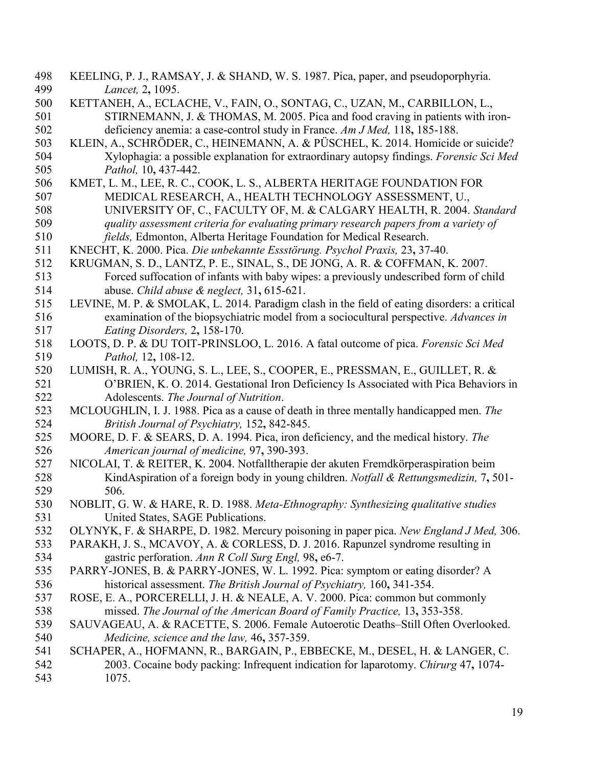- 498 KEELING, P. J., RAMSAY, J. & SHAND, W. S. 1987. Pica, paper, and pseudoporphyria. 499 *Lancet,* 2**,** 1095.
- 500 KETTANEH, A., ECLACHE, V., FAIN, O., SONTAG, C., UZAN, M., CARBILLON, L., 501 STIRNEMANN, J. & THOMAS, M. 2005. Pica and food craving in patients with iron-502 deficiency anemia: a case-control study in France. *Am J Med,* 118**,** 185-188.
- 503 KLEIN, A., SCHRÖDER, C., HEINEMANN, A. & PÜSCHEL, K. 2014. Homicide or suicide? 504 Xylophagia: a possible explanation for extraordinary autopsy findings. *Forensic Sci Med*  505 *Pathol,* 10**,** 437-442.
- 506 KMET, L. M., LEE, R. C., COOK, L. S., ALBERTA HERITAGE FOUNDATION FOR 507 MEDICAL RESEARCH, A., HEALTH TECHNOLOGY ASSESSMENT, U., 508 UNIVERSITY OF, C., FACULTY OF, M. & CALGARY HEALTH, R. 2004. *Standard*  509 *quality assessment criteria for evaluating primary research papers from a variety of*
- 510 *fields,* Edmonton, Alberta Heritage Foundation for Medical Research.
- 511 KNECHT, K. 2000. Pica. *Die unbekannte Essstörung. Psychol Praxis,* 23**,** 37-40.
- 512 KRUGMAN, S. D., LANTZ, P. E., SINAL, S., DE JONG, A. R. & COFFMAN, K. 2007. 513 Forced suffocation of infants with baby wipes: a previously undescribed form of child 514 abuse. *Child abuse & neglect,* 31**,** 615-621.
- 515 LEVINE, M. P. & SMOLAK, L. 2014. Paradigm clash in the field of eating disorders: a critical 516 examination of the biopsychiatric model from a sociocultural perspective. *Advances in*  517 *Eating Disorders,* 2**,** 158-170.
- 518 LOOTS, D. P. & DU TOIT-PRINSLOO, L. 2016. A fatal outcome of pica. *Forensic Sci Med*  519 *Pathol,* 12**,** 108-12.
- 520 LUMISH, R. A., YOUNG, S. L., LEE, S., COOPER, E., PRESSMAN, E., GUILLET, R. & 521 O'BRIEN, K. O. 2014. Gestational Iron Deficiency Is Associated with Pica Behaviors in 522 Adolescents. *The Journal of Nutrition*.
- 523 MCLOUGHLIN, I. J. 1988. Pica as a cause of death in three mentally handicapped men. *The*  524 *British Journal of Psychiatry,* 152**,** 842-845.
- 525 MOORE, D. F. & SEARS, D. A. 1994. Pica, iron deficiency, and the medical history. *The*  526 *American journal of medicine,* 97**,** 390-393.
- 527 NICOLAI, T. & REITER, K. 2004. Notfalltherapie der akuten Fremdkörperaspiration beim 528 KindAspiration of a foreign body in young children. *Notfall & Rettungsmedizin,* 7**,** 501- 506.
- 530 NOBLIT, G. W. & HARE, R. D. 1988. *Meta-Ethnography: Synthesizing qualitative studies*  531 United States, SAGE Publications.
- 532 OLYNYK, F. & SHARPE, D. 1982. Mercury poisoning in paper pica. *New England J Med,* 306.
- 533 PARAKH, J. S., MCAVOY, A. & CORLESS, D. J. 2016. Rapunzel syndrome resulting in 534 gastric perforation. *Ann R Coll Surg Engl,* 98**,** e6-7.
- 535 PARRY-JONES, B. & PARRY-JONES, W. L. 1992. Pica: symptom or eating disorder? A 536 historical assessment. *The British Journal of Psychiatry,* 160**,** 341-354.
- 537 ROSE, E. A., PORCERELLI, J. H. & NEALE, A. V. 2000. Pica: common but commonly 538 missed. *The Journal of the American Board of Family Practice,* 13**,** 353-358.
- 539 SAUVAGEAU, A. & RACETTE, S. 2006. Female Autoerotic Deaths–Still Often Overlooked. 540 *Medicine, science and the law,* 46**,** 357-359.
- 541 SCHAPER, A., HOFMANN, R., BARGAIN, P., EBBECKE, M., DESEL, H. & LANGER, C. 542 2003. Cocaine body packing: Infrequent indication for laparotomy. *Chirurg* 47**,** 1074- 543 1075.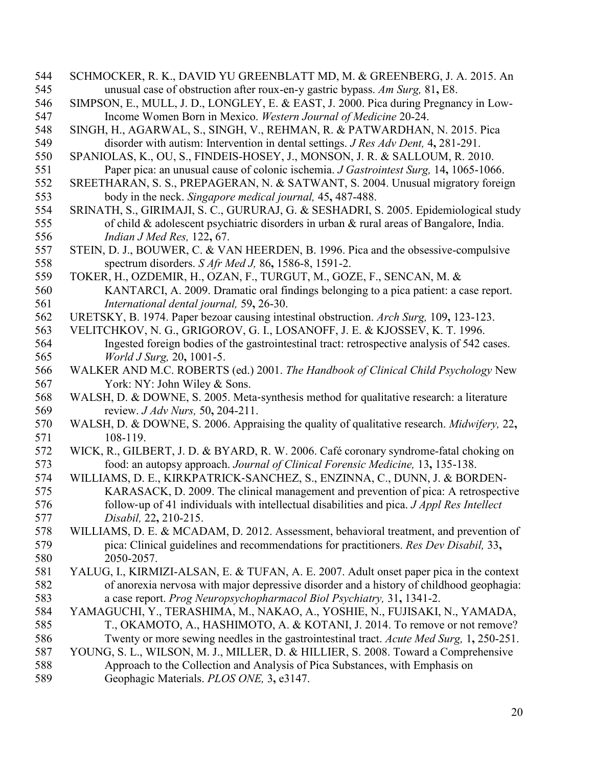- 544 SCHMOCKER, R. K., DAVID YU GREENBLATT MD, M. & GREENBERG, J. A. 2015. An 545 unusual case of obstruction after roux-en-y gastric bypass. *Am Surg,* 81**,** E8.
- 546 SIMPSON, E., MULL, J. D., LONGLEY, E. & EAST, J. 2000. Pica during Pregnancy in Low-547 Income Women Born in Mexico. *Western Journal of Medicine* 20-24.
- 548 SINGH, H., AGARWAL, S., SINGH, V., REHMAN, R. & PATWARDHAN, N. 2015. Pica 549 disorder with autism: Intervention in dental settings. *J Res Adv Dent,* 4**,** 281-291.
- 550 SPANIOLAS, K., OU, S., FINDEIS-HOSEY, J., MONSON, J. R. & SALLOUM, R. 2010. 551 Paper pica: an unusual cause of colonic ischemia. *J Gastrointest Surg,* 14**,** 1065-1066.
- 552 SREETHARAN, S. S., PREPAGERAN, N. & SATWANT, S. 2004. Unusual migratory foreign 553 body in the neck. *Singapore medical journal,* 45**,** 487-488.
- 554 SRINATH, S., GIRIMAJI, S. C., GURURAJ, G. & SESHADRI, S. 2005. Epidemiological study 555 of child & adolescent psychiatric disorders in urban & rural areas of Bangalore, India. 556 *Indian J Med Res,* 122**,** 67.
- 557 STEIN, D. J., BOUWER, C. & VAN HEERDEN, B. 1996. Pica and the obsessive-compulsive 558 spectrum disorders. *S Afr Med J,* 86**,** 1586-8, 1591-2.
- 559 TOKER, H., OZDEMIR, H., OZAN, F., TURGUT, M., GOZE, F., SENCAN, M. & 560 KANTARCI, A. 2009. Dramatic oral findings belonging to a pica patient: a case report. 561 *International dental journal,* 59**,** 26-30.
- 562 URETSKY, B. 1974. Paper bezoar causing intestinal obstruction. *Arch Surg,* 109**,** 123-123.
- 563 VELITCHKOV, N. G., GRIGOROV, G. I., LOSANOFF, J. E. & KJOSSEV, K. T. 1996. 564 Ingested foreign bodies of the gastrointestinal tract: retrospective analysis of 542 cases. 565 *World J Surg,* 20**,** 1001-5.
- 566 WALKER AND M.C. ROBERTS (ed.) 2001. *The Handbook of Clinical Child Psychology* New 567 York: NY: John Wiley & Sons.
- 568 WALSH, D. & DOWNE, S. 2005. Meta-synthesis method for qualitative research: a literature review. *J Adv Nurs*, 50, 204-211. 569 review. *J Adv Nurs,* 50**,** 204-211.
- 570 WALSH, D. & DOWNE, S. 2006. Appraising the quality of qualitative research. *Midwifery,* 22**,** 571 108-119.
- 572 WICK, R., GILBERT, J. D. & BYARD, R. W. 2006. Café coronary syndrome-fatal choking on 573 food: an autopsy approach. *Journal of Clinical Forensic Medicine,* 13**,** 135-138.
- 574 WILLIAMS, D. E., KIRKPATRICK-SANCHEZ, S., ENZINNA, C., DUNN, J. & BORDEN-<br>575 KARASACK, D. 2009. The clinical management and prevention of pica: A retrospecti KARASACK, D. 2009. The clinical management and prevention of pica: A retrospective 576 follow‐up of 41 individuals with intellectual disabilities and pica. *J Appl Res Intellect*  577 *Disabil,* 22**,** 210-215.
- 578 WILLIAMS, D. E. & MCADAM, D. 2012. Assessment, behavioral treatment, and prevention of 579 pica: Clinical guidelines and recommendations for practitioners. *Res Dev Disabil,* 33**,** 580 2050-2057.
- 581 YALUG, I., KIRMIZI-ALSAN, E. & TUFAN, A. E. 2007. Adult onset paper pica in the context 582 of anorexia nervosa with major depressive disorder and a history of childhood geophagia: 583 a case report. *Prog Neuropsychopharmacol Biol Psychiatry,* 31**,** 1341-2.
- 584 YAMAGUCHI, Y., TERASHIMA, M., NAKAO, A., YOSHIE, N., FUJISAKI, N., YAMADA, 585 T., OKAMOTO, A., HASHIMOTO, A. & KOTANI, J. 2014. To remove or not remove? 586 Twenty or more sewing needles in the gastrointestinal tract. *Acute Med Surg,* 1**,** 250-251.
- 587 YOUNG, S. L., WILSON, M. J., MILLER, D. & HILLIER, S. 2008. Toward a Comprehensive
- 588 Approach to the Collection and Analysis of Pica Substances, with Emphasis on 589 Geophagic Materials. *PLOS ONE,* 3**,** e3147.